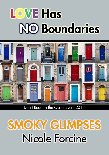# **LOVE Has NO Boundaries**



Don't Read in the Closet Event 2013

# **SMOKY GLIMPSES** Nicole Forcine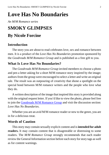### **Love Has No Boundaries**

#### *An M/M Romance series*

# **SMOKY GLIMPSES**

#### **By Nicole Forcine**

#### **Introduction**

The story you are about to read celebrates love, sex and romance between men. It is a product of the *Love Has No Boundaries* promotion sponsored by the *Goodreads M/M Romance Group* and is published as a free gift to you.

#### **What Is Love Has No Boundaries?**

The *Goodreads M/M Romance Group* invited members to choose a photo and pen a letter asking for a short M/M romance story inspired by the image; authors from the group were encouraged to select a letter and write an original tale. The result was an outpouring of creativity that shone a spotlight on the special bond between M/M romance writers and the people who love what they do.

A written description of the image that inspired this story is provided along with the original request letter. If you'd like to view the photo, please feel free to join the [Goodreads M/M Romance Group](http://www.goodreads.com/group/show/20149-m-m-romance) and visit the discussion section: *Love Has No Boundaries*.

Whether you are an avid M/M romance reader or new to the genre, you are in for a delicious treat.

#### **Words of Caution**

This story may contain sexually explicit content and is **intended for adult readers.** It may contain content that is disagreeable or distressing to some readers. The *M/M Romance Group* strongly recommends that each reader review the General Information section before each story for story tags as well as for content warnings.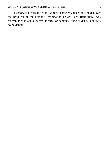This story is a work of fiction. Names, characters, places and incidents are the products of the author's imagination or are used fictitiously. Any resemblance to actual events, locales, or persons, living or dead, is entirely coincidental.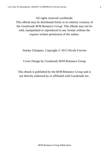All rights reserved worldwide.

This eBook may be distributed freely in its entirety courtesy of the *Goodreads M/M Romance Group*. This eBook may not be sold, manipulated or reproduced in any format without the express written permission of the author.

Smoky Glimpses, Copyright © 2013 Nicole Forcine

Cover Design by Goodreads M/M Romance Group

This ebook is published by the *M/M Romance Group* and is not directly endorsed by or affiliated with Goodreads Inc.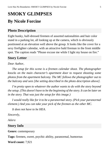## **SMOKY GLIMPSES By Nicole Forcine**

#### **Photo Description**

Eight hunky, half-dressed firemen of assorted nationalities and hair color stand in a parking lot, all looking up at the camera, which is obviously positioned at an elevation well above the group. It looks like the cover for a sexy firefighter calendar, with an attractive bald fireman in the front middle spot. The caption reads "Please excuse me while I light my house on fire."

#### **Story Letter**

#### *Dear Author,*

*The setup for this scene is a firemen calendar shoot. The photographer knocks on the main character's apartment door to request shooting some photos from the apartment balcony. The MC follows the photographer out to the balcony and sees [the setting described in the photo description above].*

*I'm pretty open to whatever the author wants to do with the story beyond the setup. (This doesn't have to be the beginning of the story. It can be later on in the story. That was just the setup for this image.)*

*I would really like for it to be a paranormal story. (Pick your paranormal element.) And you can take your pick of the firemen as the other MC.* 

*It does not have to be HEA.*

*Sincerely,*

*Adara*

#### **Story Info**

**Genre:** contemporary

**Tags:** firemen, sweet, psychic ability, paranormal, humorous

**Word count:** 7,921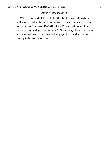#### *Author Interpretation*

When I looked at this photo, the first thing I thought was, well, exactly what the caption said— "Excuse me while I set my house on fire" because RAWR. Once I'd calmed down, I had to pick my guy and you know what? Not enough love for dudes with shaved heads. Or blue collar psychics for that matter, so Smoky Glimpses was born.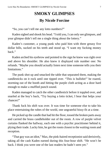### **SMOKY GLIMPSES By Nicole Forcine**

"So, you can't tell me any lotto numbers?"

Kaden sighed and shook his head. "I told you, I can only see glimpses, and your glimpse didn't tell me a single thing about the lottery."

Kaden's customer, a young punk who paid him with three greasy five dollar bills, sucked on his teeth and stood up. "I want my fucking money back."

Kaden arched his eyebrow and pointed to the sign he knew was right over and above his shoulder. He also knew it displayed rule number one: No refunds. "Maybe you should actually listen next time someone tells you their limitations."

The punk shot up and smacked the table that separated them, making the candlesticks on it rock until one tipped over. "This is bullshit!" he roared, storming out of the booth and hitting the purple cloth acting as a door hard enough to make a muffled punch sound.

Kaden managed to catch the other candlestick before it toppled over, and snarled at the boy's back, "Try buying a lotto ticket, I hear that helps your chances!"

Thank fuck his shift was over. It was time for someone else to take his place entertaining the rubes of the world, one ungrateful hissy-fit at a time.

He picked up the candle that had hit the floor, tossed the broken parts away and carried the brass candleholder out of the room. A row of purple velvet curtains flanked the hallway, each one with a psychic practitioner behind it, plying their trade. Lucky him, he got the room closest to the waiting room and reception.

"That guy was an idiot," Max, the pink-haired receptionist said derisively, taking all the cash Kaden earned during this four-hour shift. "He won't be back. I think you were one of the last readers he hadn't seen yet."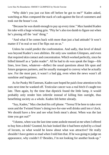"Why didn't you just cut him off before he got to me?" Kaden asked, watching as Max compared the stack of cash against the list of customers and took out the house's cut.

"Because he was dumb enough to pay up every time." Max handed Kaden histake with a huge winning grin. "Pity he's also too dumb to figure out when he's pissing off the 'real' thing."

"And what if he comes back with more than just a bad attitude? It won't matter if I'm real or not if he flips out on us."

Unless he could predict the confrontation. And sadly, that level of detail was beyond Kaden's own abilities. He only saw random Glimpses, and even that required skin contact and concentration. Which worked perfectly, since he billed himself as a "palm reader". All he had to do was speak the lingo—life lines, love lines, whatever—deflect the usual questions about life span and future gorgeous partners, and he usually managed to convey what he actually saw. For the most part, it wasn't a bad gig, even when the news wasn't all sunshine and happiness.

As for Punky McTantrum, Kaden sure hoped he paid close attention to his nuts next time he wanked off. Testicular cancer was a real bitch if caught too late. Then again, by the time that dipstick found the little lump, it would probably only render him infertile instead of killing him outright, thus benefitting society as a whole. Kaden felt better already.

"Say, Kaden," Max checked his cell phone. "Teresa'll be here to take over soon and the Twisted Sister's doing two-for-one well drinks until ten o'clock. We should have a few and see what fresh meat's about. When was the last time you got out?"

"I dunno, when wasthe last time some asshole mooed at me when I offered to buy him a drink? Granted, his hair looked like it had been styled by a cloud of locusts, so what would he know about what was attractive? He really shouldn't have gotten so mad when I told him that. If he was going to judge on appearance, why couldn't I? Besides, I'm not looking for another hook-up."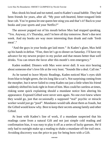Max shook his head and tut-tutted, used to Kaden's usual babble. They had been friends for years, after all. "My poor soft-hearted, bitter-tongued little bear cub. You're gonna let one queen bee sting you and that's it? Back to your books and your sports and your Netflix?"

The answer popped out of his mouth before Max had stopped speaking. "Yes. Anyway, it's Thursday, and I'm here all day tomorrow. Rent's due next week. And my books are way more interesting than drunk and rude 'fresh meat'."

"And the guys in your books get laid more." At Kaden's glare, Max held up his hands in defeat. "Fine, then let's go to dinner on Saturday. I'll have my advance for my newest project in my pocket and that means better than well drinks. You can return the favor after this month's rent emergency."

Kaden nodded. Dinners with Max were never dull. It was nice hearing about someone else's love life at the very least. "Sounds like a deal. Call me."

As he turned to leave Mystic Readings, Kaden noticed Max's eyes shift from blue to bright green, the iris long like a cat's. Not surprising coming from the morpher, but it never failed to creep Kaden out just a little when his friend suddenly shifted his look right in front of him. Max could be careless at times, risking some quick explaining should a mundane notice him altering his appearance. Exposed Gifted were never seen again. No one ever knew where they would go, just that occasionally a supposed "real" psychic or miracle worker would just go "poof". Mundanes would talk about them as frauds, but the Gifted would know why. Best to keep their secrets among family and other Gifted.

At least with Kaden's line of work, if a mundane suspected that his readings came from a natural Gift and not just simple cold reading and confirmation bias, it was easy to play it off as a series of lucky guesses. He'd only had to outright make up a reading to shake a mundane off the trail once. Avoiding discovery was the price to pay for being born with a Gift.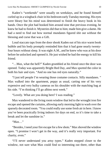Kaden's "weekends" were usually on weekdays, and he found himself curled up in a wingback chair in his bedroom early Tuesday morning. His eyes were bleary but his mind was determined to finish the heavy book in his hands. Once the plot had hooked him around nine that previous evening, he knew he had to finish it. Mysteries did that to him; made him give a damn. He had a need to find out how normal mundanes figured shit out without the blessing and curse that was a Gift.

Loud staccato taps from the door shook Kaden out of his nice warm book bubble and his body promptly reminded him that it had gone nearly twentyfour hours without sleep. It was eight A.M., and he knew who was at his door before he unlocked and opened it. He just wished he had the energy to kill his friend.

"…Max, what the hell?" Kaden grumbled at his friend once the door was opened. Today was apparently Bright Red Day, and Max sported the color in both his hair and eyes. "And no one has red eyes naturally."

"I just tell people I'm wearing those costume contacts. Silly mundanes. " Max walked into the apartment, peppy as usual, carting one of his very expensive and very bulky cameras on his shoulder with the matching bag at his side. "I'm thinking I'll go albino next week."

"Lovely. What are you doing here? I was reading."

Max wandered to the living room window that led to the wrought iron fire escape and opened the curtains, allowing early morning light to wash over the sparsely decorated room. "You could really use some fresh air in here. I know you've been practically living indoors for days on end, so it's time to take a break and let the sunshine in."

"Max…"

"Besides, I need your fire escape for a few shots." Max shoved the window open. "I promise I won't get in the way, and it's really very important. For charity, even."

"I'll never understand you artsy types." Kaden stepped closer to the window, not sure what Max could find so interesting out there, other than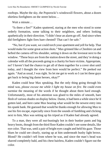rooftops. Maybe the sky, the Poporocki's windowsill flowers, about a dozen shirtless firefighters on the street below…

Wait a minute…

"Is there a fire?" Kaden sputtered, staring at the men who stood in some orderly formation, some talking to their neighbors, and others looking apathetically in their direction. "I didn't hear an alarm go off. And since when did firefighters fight fires bare chested? That can't be safe."

"No, but if you want, we could torch your apartment and yell for help. That would make for some great action shots." Max grinned like a Cheshire cat and hefted the camera off his shoulder, setting it down on the loveseat next to the window. "These boys are from the station down the street, and they're doing a calendar with all the proceeds going to a charity for burn victims. Appropriate, no? I haven't had the chance to get all of them together for a cover shot until today, and I thought the view from here would be perfect." He peeked out again. "And as usual, I was right. So let me get to work so I can let these guys get back to being big damn heroes, okay?"

Kaden could hear Max speaking. But the only thing going through his mind was, *please excuse me while I light my house on fire*. He could even surmise the meaning of the words if he thought about them hard enough. Unfortunately, most of his attention was glued to the miles of smooth, bare flesh of various shades on display below. Damn, it had been a while since he'd gotten laid, and here came Max bearing what would be the newest entry into his spank bank. He guessed that would be thanks enough for allowing Max to use his fire escape, especially since from the sounds of fumbling and clicking next to him, Max was setting up his tripod as if Kaden had already agreed.

To a man, they were all nut-bustingly hot in their bunker pants and big heavy boots, though from the third floor Kaden couldn't see some details, like eye color. That was, until a pair of bright eyes caught and held his gaze. Those blues he could see clearly, staring up at him underneath bushy light brows. Blond? He couldn't tell from where he was, and since the man's head was shaved completely bald, and his chest hairless, Kaden couldn't figure out the color.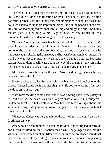The man looked older than the others, mid-thirties if Kaden could guess, and stood like a king, not fidgeting or even speaking to anyone. Waiting patiently, probably for the skinny queer photographer to snap his pics so he could go back to doing more important things like pulling people out of fires. He sure looked equipped for that job, all big and bulgy and cut. The bulky bunker pants did nothing to hide legs as thick as tree trunks. It took monumental will for Kaden to not glance at his package.

This was fortunate, because when Kaden aimed his gaze back on the man's eyes, he was surprised to see him smiling. It was one of those cocky, one corner of the mouth crooked up sort of smiles; the kind that let Kaden know he had been caught checking the man out, and he wasn't completely disgusted. Or maybe he was just so proud, *hey, even the queer's buddy wants me.* For some reason, Kaden didn't really care about the why of that smile—it wasn't like he'd have the balls to ask anyway—it just made the guy look sexier.

Max's voice broke him out of the spell. "Are you done ogling my subjects, because I'm on the clock."

Kaden backed up so fast from the window that he nearly knocked over the tripod. "GuessI could get in another chapter while you're 'working'. Just lock the door on your way out."

With Max cackling at his back, Kaden was running back to the safety of his bedroom. As he heard Max start to give instructions to his "subjects", Kaden couldn't help but recall what Max had told him days ago about this very same thing, hiding in his bedroom, and just what a monkey wrench that threw in his love life.

Whatever. Kaden was very much not the sort of guy that could pick up a firefighter anyway.

After about fifteen minutes of listening to Max, Kaden slipped in earbuds and turned his iPod on for distraction music while he plunged back into the whodunit. That lasted for about fifteen more minutes before Kaden found that he was too tired to keep reading. Besides, he was more interested in peeking out of his bedroom window at the men outside. Max had to be taking his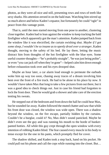photos, as they were all nice and still, presenting rows and rows of teeth like sexy sharks. His attention zeroed in on the bald man. Watching him stirred up so much above and below Kaden's equator, but fortunately he could "ogle" in peace from this vantage point.

That is, until the men started moving from one pose to another, clustering close together. Kaden had to lean against the window to keep tracking the bald firefighter which apparently got the man's attention. Kaden jumped back from the window like it was electrified, the curtain swishing shut. *Maybe if I got some sleep, I wouldn't be so insane as to openly drool over a stranger,* Kaden thought, moving to the safety of his bed. He lay there, letting the music distract him from thoughts of the hot firefighter with the blue eyes. Some useful counter-thoughts—"he's probably straight", "he was just being polite", or even "you can jack off when they're gone"—helped calmhimdown enough before exhaustion took over and his eyes drooped shut.

Maybe an hour later, a car alarm loud enough to permeate the earbuds woke him up way too soon, chasing away traces of a dream involving him bent over the front of a fire truck. He had to be alone in his place by now. It wouldn't have taken Max that long to take a few pictures from out there, but it was a good idea to check things out. Just in case his friend had forgotten to lock the front door. Then he would grab a shower and take care of the erection tenting his sweats.

He stepped out of the bedroom and from down the hall he could hear Max, but he sounded far away. Kaden followed the muted chatter and saw that while his front door was closed, the window was wide open. There was a shadow beyond the window, on the fire escape, partially hidden by the curtains. Couldn't be a burglar, could it? No, Max didn't sound panicked. Maybe he didn't even see the guy and was running his mouth to the horde of bunkerpanted hotties. All while this guy crept through the open window with every intention of robbing Kaden blind. The fear caused every muscle in his body to tense except for the one in his pants, which promptly fled for cover.

The shadow shifted, and Kaden took a step back, hand on his pocket. He could pull out his phone and call the cops while running into the closet. But…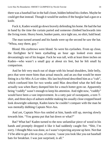there was a baseball bat in the hall closet, hidden behind his clothes. Maybe he could get that instead. Though it would be useless if the burglar had a gun or a knife.

Fuck it, Kaden would go down bravely defending his home. He had the bat in hand by the time the curtain parted and someone climbed backwards into the living room. Heavy boots, bunker pants, nice tight ass, no shirt, bald head.

The man turned around and his hands were up the second he saw the bat. "Whoa, easy there, guy."

Blond. His eyebrows were blond. So were his eyelashes. From up close, the firefighter he'd been eyeballing an hour ago looked even more devastatingly out of his league. Fuck he was tall, with at least three inches on Kaden—who wasn't a small guy at about six feet, but he felt small by comparison.

And he felt very much out of shape with his broad shoulders, little belly, pecs that were more hints than actual muscle, and an ass that would be more fitting in a Sir Mix-A-Lot video. His last boyfriend described him as a "cub", which confused him for two weeks until Max described what the hell that actually was when Barry dumped him for a much hotter gym rat. Apparently being "cuddly" wasn't enough to keep his attention. And right now, "cuddly" would have been a vast improvement. In a ratty pair of sweatpants, a torn Tshirt, and three days of auburn stubble making his usually close cropped beard look downright unkempt, Kaden knew he couldn't compare with the man he was mentally dubbing Captain Nice-Ass.

And yet, Captain Nice-Ass smiled at him, hands still up, moving slowly towards him. "You gonna put that bat down or what?"

Bat? What bat? Kaden turned to the now unfamiliar piece of wood in his hands and promptly dropped it like it had suddenly caught fire. "Shit, I'm sorry. I thought Max was done, so I wasn't expecting anyone up here. Not that I'd be able to get a hit on you, of course, 'cause you look like you eat baseball bats for breakfast. I was just surprised, is all."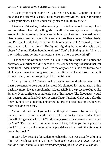"Guess your friend didn't tell you his plan, huh?" Captain Nice-Ass chuckled and offered his hand. "Lieutenant Jeremy Miller. Thanks for letting us use your place. This calendar really means a lot to my crew."

Lieutenant Nice-Ass, Kaden mentally corrected as he took Jeremy's hand and considered cheerfully killing Max for allowing strange hot men to traipse around his living room without warning him first. He could have had time to change pants, maybe shave a little and not look like a hobo. "Kaden Harris, and I'm glad I could help. Anything for burn victims, right? It's really fitting, you know, with the theme. Firefighters fighting burn injuries with bare chests." *Shut up,* Kaden thought to himself. *You're babbling again.* "Are you guys taking turns getting your picture taken up here or something?"

That hand was warm and firm in his, like Jeremy either didn't notice the elevator eyes earlier or didn't care about the sudden barrage of sound that just came from Kaden's mouth. "Nah, I'm the only one with the time for my solo shot, 'cause I'm not working again until this afternoon. I've got to cover a shift for my friend, but I've got plenty of time until then."

"Lucky you, huh?" Kaden chuckled, trying to sound relaxed even as his heart threatened to beat out of his chest. He clamped his mouth shut, biting back any more. It was a problem he had, especially in the presence of guyslike Jeremy. Hot, confident, completely out of his league. The floodgates would just open up and suddenly Kaden became Chatty-Fucking-Cathy and before he knew it, he'd say something embarrassing. Psychic readings for a rube were more relaxing than this.

"You could say that. I got lucky that this place is owned by somebody so damned cute." Jeremy's smile turned into the cocky smirk Kaden found himself liking a whole lot. Cute? Did Jeremy assume the apartment was owned by Max? "Excuse me if I'm being forward here, but do you have plans for lunch? I'd like to thank you for your help and there'sthis great little pizza joint down the block."

It took a few seconds for Kaden to realize the man was actually talking to him. "Uh, yeah Donatello's, I know the place." *Look at me, man. I'm very familiar with Donatello's and every other pizza joint in a ten-mile radius.*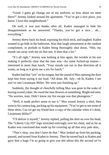"Good. I gotta go change out of my uniform, so how about we meet there?" Jeremy looked around the apartment. "You've got a nice place, you know. I love this neighborhood."

Oh well, it was just thanks after all. Kaden managed to hide his disappointment as he answered. "Thanks, you've got a nice... ah... everything."

Jeremy threw back his head, exposing his thick neck, and laughed. Kaden wanted to go hide in the bathroom. Was that laugh amusement at the random compliment, or prelude to Kaden being thoroughly shut down. "Shit, my mouth ran away with me on that one. It does that a lot."

"It's all right." Jeremy was looking at him again, the twinkle in his eye making it perfectly clear that the man was—for some fucked-up reason interested in more than lunch. "Your mouth can run in that direction all it wants, as long as it gives me a yes for lunch."

Kaden had that "yes" on histongue, but the sound of Max opening the door kept him from saying it out loud. "All done, Mr. July—oh hi, Kaden, I see you've met Lieutenant Miller. We were just finishing up."

Suddenly, the thought of cheerfully killing Max was gone in the wake of having scored a date. He owed the man flowers or something. Bright red ones. "No worries, man. Didn't know my fire escape was that photogenic."

"Well, it made perfect sense to use it." Max tossed Jeremy a shirt, then went to his camera bag, packing up his equipment. "You've got to see some of these shots. Can we get my friend here a copy of the calendar when it's done, Lieutenant Miller?"

"I'll deliver it myself," Jeremy replied, pulling the shirt on over his head. The "Liberty City FD" logo stretched enticingly over his chest, and as far as Kaden was concerned that made up for covering up all that sexy pale skin,.

"That's okay, you don't have do that." Max looked up from his packing, paused, and turned from Kaden to Jeremy. Then he turned back to Kaden and gave him a huge *I'm so going to give you shit about this the second we're*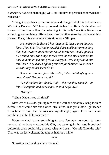*alone* grin. "On second thought, we'll talk about who gets that honor when it's released."

"I've got to get back to the firehouse and change out of this before lunch. We doing Donatello's?" Jeremy pressed his hand on Kaden's shoulder and instead of the "butterflies slam-dancing in his belly" reaction Kaden was expecting, a completely different and very familiar sensation came over him instead. Fuck, this was a very shitty time for a Glimpse.

*His entire body flushed hot, then cold, then a more intense kind of hot. Like fire. Kaden could feel fire and heatsurrounding him, but it was so dark that he could barely see. Smoke poured all around him. His lungs burned even as the mask around his nose and mouth fed him precious oxygen. How long would this tank last? They'd been fighting thisfire for about an hour and he was already on his second one.* 

*Someone shouted from his radio, "The building's gonna come down! Get outta there!"*

*Two directions lay ahead. Right—the way they came in—or left. His captain had gone right, should he follow?*

*"Hurry!"*

"Whoa, Kaden, you all right?"

Max was at his side, pulling him off the wall and smoothly lying for him before Kaden could eke out a word. "He's fine. Just gets a little lightheaded from time to time. Bet he was reading all night, again. Give him some sunshine, and he falls right over."

Kaden wanted to say something to ease Jeremy's concerns, to seem normal, all without revealing his Gift, but once again, his mouth engaged before his brain could fully process what he'd seen. "Go left. Take the left." That was the last coherent thought he had for a while.

\*\*\*\*

Sometimes a friend can help too much.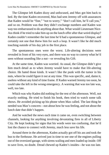The Glimpse left Kaden dizzy and unfocused, and Max got him back to bed. By the time Kaden recovered, Max had sent Jeremy off with assurances that Kaden would be "fine," "not to worry," "don't call him, he'll call you," and so on. Problem was that they didn't exchange numbers and Kaden was way too embarrassed to do anything about that. What would Lieutenant Nice-Ass think if he tried to take him up on the lunch offer after that weird display? Kaden couldn't remember the last time he'd had a spontaneous Glimpse, and certainly not one that threw him for such a loop. It wasn't like he did much touching outside of his day job in the first place.

The spontaneous ones were the worst. Life-altering decisions were revealed in front of his very eyes, and there was no way to convey what he'd seen without sounding like a nut—or revealing his Gift.

At the same time, Kaden was worried. As usual, the Glimpse didn't give him much detail as to when Jeremy would have to make that life-altering choice. He hated those kinds. It wasn't like the punk with the tumor in his nuts, where he could figure it out at any time. This was specific, and, damn it, useless without any kind of time frame. If Kaden warned Jeremy too soon, he could take the left in the wrong emergency. A warning that was too late was, well, too late.

Which was why Kaden did nothing for the rest of the afternoon. Well, not exactly nothing. He tried to finish his book, then tried to watch some talk shows. He avoided picking up his phone when Max called. The last thing he needed was Max's concern—not about how he was feeling, and not about the lunch date that didn't happen.

And he watched the news each time it came on, even switching between channels, looking for anything involving devastating fires in all of Liberty City. He kept looking for signs that his words were too confusing, that he'd lost the chance to connect with Jeremy, much less save his life.

Around three in the afternoon, Kaden actually got off his ass and took the bus to the firehouse. He arrived just in time to see one of the engines pulling out of the oversized garage, with sirens wailing and men loaded up inside. Off to save lives, no doubt. Dread chewed up Kaden's insides—he was too late.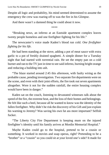Despite all logic and probability, his mind seemed determined to assume the emergency the crew was roaring off to was the fire in his Glimpse.

And there wasn't a damned thing he could about it now.

\*\*\*\*

"Breaking news, an inferno at an Eastside apartment complex leaves twenty people homeless and one firefighter fighting for his life."

The newscaster's voice made Kaden's blood run cold. *One firefighter fighting for his life.* 

He had been standing at the stove, adding a pot of meat sauce with extra garlic to a pot of freshly drained spaghetti. A simple dinner for a Tuesday night that had started with torrential rain. He set the empty pan on a cold burner and ran to the TV just in time to see said inferno, burning bright orange and reducing a building into ash.

"The blaze started around 2:45 this afternoon, with faulty wiring as the probable cause, pending investigation. Two separate fire departments were on the scene, and even with their joint efforts, the fire took out seven apartments altogether. Were it not for the sudden rainfall, the entire housing complex would have been in danger."

Kaden sat on the couch, listening to devastated witnesses talk about the speed of the fire, the extreme heat, and the loss of their homes and belongings. He felt like such a heel, because all he wanted to know was the identity of the fallen firefighter. Why didn't he risk the discovery of his Gift and just explain his warning to Jeremy? Was saving his own fat ass more important? Selfish fucker.

"The Liberty City Fire Department is keeping mum on the injured firefighter's identity until his family arrives at Mordin Memorial Hospital."

Maybe Kaden could go to the hospital, pretend to be a cousin or something. It worked in movies and soap operas, right? Pretending to be a "brother" or a "cousin" so you could sit at your loved one's side? It made for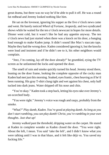great drama, but there was no way he'd be able to pull it off. He was a round fat redhead and Jeremy looked nothing like him.

He sat on the loveseat, ignoring his supper as the five o'clock news came and went. He barely noticed *Wheel of Fortune*, *Jeopardy*, and two syndicated shows while he waited for the ten o'clock newscast in hopes for more details. Dinner went cold, but it wasn't like he had any appetite anyway. The ten o'clock news had just started when there was a knock on his door, a banging loud enough to make Kaden jump. It didn't sound like Max's staccato taps. Maybe they had the wrong door. Kaden considered ignoring it, but the knocks were loud and insistent and if he didn't see to it, his other neighbors would complain.

"Jeez, I'm coming, lay off the door already!" he grumbled, eying the TV screen as he unfastened the locks and opened the door.

The smell of rain and smoke quickly turned his head. Jeremy stood there, leaning on the door frame, looking the complete opposite of the cocky man Kaden had met just this morning. Soaked, eyes frantic, chest heaving as if he'd been running. His gray T-shirt clung tight and wet against his chest, only half tucked into dark jeans. Water dripped off his nose and chin.

"You're okay." Kaden took a step back, letting his eyes rake over Jeremy's un-scorched body.

"You were right." Jeremy's voice was rough and raspy, probably from the smoke.

"What?" *Play dumb, Kaden. You're good at playing dumb. Aslong as you don'tstartrambling, you can play dumb! Christ, you're rambling in your own thoughts. Just shut up!*

Jeremy walked past the threshold, dripping water on the carpet. He stared at Kaden in complete wonder as Kaden closed the door. "You were right. About the left, I mean. You said 'take the left', and I didn't know what you were talking until I was in that blaze, and it felt like déjà vu. You saved my fucking life."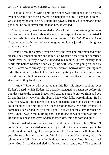That look was filled with a gratitude Kaden was certain he didn't deserve, even if he could cop to his powers. A small part of him—okay, a lot of him was so happy he could help. Finally his powers actually did someone some good, but he could never tell the man how it worked.

"Look,Jeremy, man, I'm so glad you're all right. I was watching the news just now and when I heard about the guy in the hospital, I was really worried. I was just babbling when I said that before, honestly." *I'm babbling now, fuck!* "I get tongue-tied in front of very hot guys and it was just the first thing that came out of my—"

Jeremy's mouth slammed over his before he even knew the man had come closer. The scents of smoke and rain filled Kaden's nose with one surprised inhale even as Jeremy's tongue invaded his mouth. It was exactly four heartbeats before Kaden's brain caught up with what was going on, and by then his arms were already tight around Jeremy's narrow waist, pulling him tight. Hisshirt and the front of his pants were getting wet with the rain Jeremy brought in, but the kiss was so unexpectedly hot that Kaden swore he saw steam when they finally parted.

"I know," Jeremy whispered against his lips, his fingers rubbing over Kaden's beard, which Kaden had actually managed to neaten up before his pointless trip to the station. Kaden held back the urge to purr outright and beg for another kiss. "My Nan, she always knew what folks were thinking. Had a gift, we'd say, butshe'd never cop to it. You had the same look she often did. I couldn't place it at first, since she's been dead for nearly ten years. I wanted to come back earlier and tell you that I got it, but we got the alarm for that fire first. When I was in that building and I had to decide which way was out…" He shook his head and gave Kaden another kiss, this one soft and quick.

Kaden melted into that kiss with relief. Jeremy knew. He KNEW. "I couldn't tell you. I wanted to tell you! I just didn't know how to tell you to be careful without looking like a complete wacko. I went to your firehouse but your fire truck had just pulled out. We, folks like your Nan and me, we can't tell too many folks. Hell, my family doesn't really know. Your Nan was real lucky. God, I'm so damned glad you're okay and in one piece." The palms of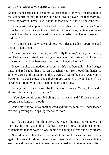Kaden's hands pressed into Jeremy's sides and he suppressed the urge to pull the wet fabric up and touch the skin he'd drooled over just that morning, before he worried himself sick about the man's fate. "How'd you get here?"

Jeremy grinned, cupping the back of Kaden's head with both hands. "I ran from the firehouse. I was at the hospital until I was sure my captain was gonna make it. He'll be out of commission for a while. After that, I knew I needed to find you."

"No umbrella, no car?" It was almost five miles to Kaden's apartment and the rain hadn't let up.

"I was running on adrenaline, wasn't really thinking," Jeremy murmured, and Kaden wassurprised that the bigger man wasn'tshivering. Until he gave a little tremor. "Not the best way to ask you out again, I know."

Kaden laughed and nodded at the stove. "It's not Donatello's, but I've got pasta and red sauce that I haven't touched yet." He moved his hands to Jeremy's arms and started to rub them, trying to warm the man. "And you're freezing. I've got a shower and a dryer, if you want 'em. It would suck if you survived a fire only to catch pneumonia or something."

Jeremy pulled Kaden closer by the back of the neck. "Mmm, food and a shower? Is that all you're offering?"

"You also get all of my babbling that you can stand." Kaden managed around a suddenly dry mouth.

And before he could say another word and ruin the moment, Kaden leaned forward, pressing their lips together once more.

\*\*\*\*

Soft kisses against his shoulder woke Kaden the next morning. Was it morning? he room was still very dark, so he wasn't sure. It took him a minute to remember that he wasn't alone in his bed having a sweet and sexy dream.

Should he lie still and savor Jeremy's kisses on his neck and warm body against his back? Or should he move and press his ass along the very enticing erection and maybe coax the man it was attached to into making use of it?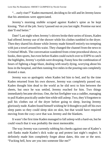"...early riser?" Kaden murmured, deciding to lie still and let Jeremy know that his attentions were appreciated.

Jeremy's morning stubble scraped against Kaden's spine as he kept kissing. "Part of the job. Sorry I passed out on you last night. Promise our next date'll end better."

Date? Last night when Jeremy's shivers broke their series of kisses, Kaden had offered Jeremy use of the shower while his clothes tumbled in the dryer. Then they shared his dinner while Jeremy made himself entirely too tempting with just a towel around his waist. They changed the channel from the newsto *Criminal Minds*. The conversation wandered from crime procedural shows, to books, then sports, but even before Kaden could switch over to ESPN to catch the highlights, Jeremy's eyelids were drooping. Funny how the combination of hours of fighting a huge blaze, dealing with nearly dying, worrying about his boss in the hospital, and then running five miles in the pouring rain completely drained a man.

Jeremy was so apologetic when Kaden led him to bed, and by the time Kaden returned from his own shower, Jeremy was completely passed out. Kaden thought him dead to the world as he slid next to him between the sheets, but once he was settled, Jeremy reached for him. Two things immediately became obvious. One, the hot firefighter was a cuddler, managing to pull Kaden practically under himwhile still asleep. Two, they'd forgotten to pull his clothes out of the dryer before going to sleep, leaving Jeremy gloriously nude. Kaden found himself wishing he'd thought to pull off his own sleep pants so they could sleep skin on skin, but that would have required moving from the cozy cave that was Jeremy and the blankets.

It wasn't the first time Kaden managed to fall asleep with a hard-on, but he could vouch that it was probably the most memorable.

The way Jeremy was currently rubbing his cheeks against one of Kaden's soft flanks made Kaden's dick wake up and protest last night's neglect. It definitely made him completely forget about dates, this one or the next. "Fucking hell, how are you into someone like me?"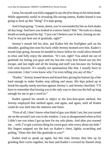Great, his mouth wasfully engaged in *say the first thing on his mind* mode. While apparently useful in revealing life-saving omens, Kaden feared it was going to fuck up this "thing" if it kept going.

And it kept going. "I mean, damn, you're surrounded by hot-as-fuck dudes all day long! And have you looked in a mirror lately? Shit." He took in a sharp breath as teeth grazed his hip. "I just can't believe you're here, kissing on me. You're not just here out of gratitude, right?"

Jeremy's mouth left his skin, and Kaden felt the firefighter pull on his shoulder, guiding him onto his back while Jeremy loomed over him. Kaden's mouth kept going, because he needed to know before he could allow himself to relax and fully enjoy the attention. "It's not, right? You asked me out of gratitude for letting you guys and my bat-shit crazy best friend use my fire escape, and last night and all the kissing and stuff was because my fucking Gift went haywire. It's usually not spontaneous like that. I usually have to concentrate. I don't even know why I'm even telling you any of this."

"Kaden." Jeremy leaned down and kissed him, giving his bottom lip a bite hard enough to make Kaden stop talking and moan. His hips jerked up to brush his equally needy erection against Jeremy's, and Jeremy chuckled. "I'll have to remember that kissing you is the only way to shut you the hell up long enough for me to get a word in."

Kaden opened his mouth to object to the kiss-him-quiet method, but Jeremy employed that method again, and again, and again, until all Kaden could do was melt into the mattress and listen.

"First of all, I don't know what kind of guy you think I am, but you turned me on the second I saw you in the window. I was so disappointed when at first I didn't see you when I got up here for my solo photo. And after you warned me... well, I've got a serious thing for sweet guys who worry about my hide." His fingers mapped out the hair on Kaden's chest, lightly scratching and pulling. "Does *this* feel like gratitude to you?"

Kaden tried to speak up again, but this time Jeremy shut him up by grinding their cocks together, his bare and Kaden's covered by flannel sleep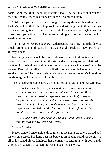pants. Nope, that didn't feel like gratitude at all. That felt like wonderful and the way Jeremy kissed his fuzzy jaw made it so much better.

"Still owe you a proper date, though." Jeremy directed his attention to Kaden's neck while his hips kept rocking and grinding. Fuck, if he kept that up, Kaden was going to come his brains out like a teenager having hisfirst wet dream. And yet, with all that hard muscle sliding against him, he was quickly starting not to care.

"I think we're way past *proper*." Kaden panted, reaching out in the dark to touch Jeremy's smooth back, his neck, the slight prickle of new growth on Jeremy's head.

Normally, Kaden would be just a little worried about falling into bed with a man he'd barely known. It was the kiss of death for any sort of relationship outside of fuck-buddies, and he was pretty damned sure that wasn't what he wanted. Even with a ridiculously hot firefighter who was glad to have survived another inferno. The urge to babble his way into asking Jeremy's intentions nearly outgrew his urge to spill into his pants.

Then that urge to come gave way to the hot-cold flash of another Glimpse.

*Dark tan sheets. A soft, warm body spooned against his side. The sun streamed through opened black-out curtains. Kaden gave in to the irresistible urge to squeeze the body close and bury his nose into the mass of dark red curls pressed against his cheek. Damn, just lying next to his man turned him on more than anyone ever had before. Maybe if he woke him right now, they could have another go-'round before work.* 

*His lover turned his head and Kaden found himself staring into his own sleepy, love-drunk eyes.*

"Kaden? Kaden!"

Kaden blinked once, twice, three times as the slight dizziness passed and his vision cleared. The lamp near his bed was on, and he could see Jeremy in all of his naked glory. It helped that the man was sitting up with both hands gripped on Kaden's shoulders. It was a nice up-close view.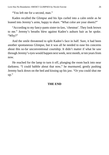"You left me for a second, man."

Kaden recalled the Glimpse and his lips curled into a calm smile as he leaned into Jeremy's arms, happy to share. "What color are your sheets?"

"According to my fancy-pants sister-in-law, 'chestnut'. They look brown to me." Jeremy's breaths blew against Kaden's auburn hair as he spoke. "Why?"

And the smile threatened to split Kaden's face in half. Sure, it had been another spontaneous Glimpse, but it was all he needed to ease his concerns about this so-far unconventional courtship. It didn't matter if what he saw through Jeremy's eyes would happen next week, next month, or ten years from now.

He reached for the lamp to turn it off, plunging the room back into near darkness. "I could babble about that now," he murmured, gently pushing Jeremy back down on the bed and kissing up his jaw. "Or you could shut me up."

#### **THE END**